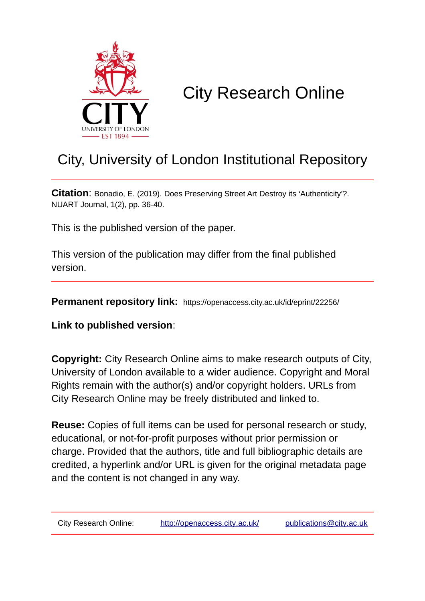

# City Research Online

## City, University of London Institutional Repository

**Citation**: Bonadio, E. (2019). Does Preserving Street Art Destroy its 'Authenticity'?. NUART Journal, 1(2), pp. 36-40.

This is the published version of the paper.

This version of the publication may differ from the final published version.

**Permanent repository link:** https://openaccess.city.ac.uk/id/eprint/22256/

**Link to published version**:

**Copyright:** City Research Online aims to make research outputs of City, University of London available to a wider audience. Copyright and Moral Rights remain with the author(s) and/or copyright holders. URLs from City Research Online may be freely distributed and linked to.

**Reuse:** Copies of full items can be used for personal research or study, educational, or not-for-profit purposes without prior permission or charge. Provided that the authors, title and full bibliographic details are credited, a hyperlink and/or URL is given for the original metadata page and the content is not changed in any way.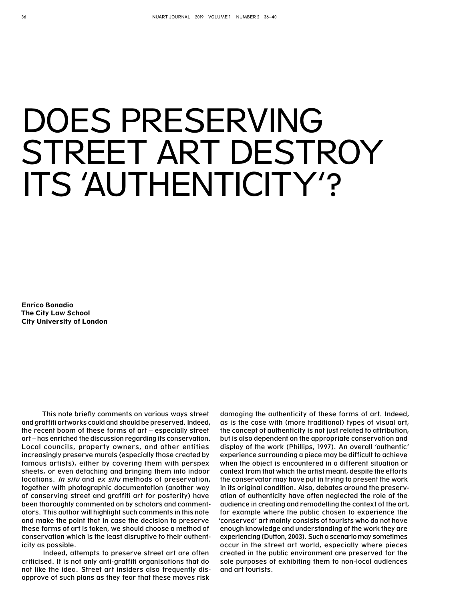# DOES PRESERVING STREET ART DESTROY ITS 'AUTHENTICITY'?

**Enrico Bonadio The City Law School City University of London**

This note briefly comments on various ways street and graffiti artworks could and should be preserved. Indeed, the recent boom of these forms of art – especially street art – has enriched the discussion regarding its conservation. Local councils, property owners, and other entities increasingly preserve murals (especially those created by famous artists), either by covering them with perspex sheets, or even detaching and bringing them into indoor locations. In situ and ex situ methods of preservation, together with photographic documentation (another way of conserving street and graffiti art for posterity) have been thoroughly commented on by scholars and commentators. This author will highlight such comments in this note and make the point that in case the decision to preserve these forms of art is taken, we should choose a method of conservation which is the least disruptive to their authenticity as possible.

Indeed, attempts to preserve street art are often criticised. It is not only anti-graffiti organisations that do not like the idea. Street art insiders also frequently disapprove of such plans as they fear that these moves risk

damaging the authenticity of these forms of art. Indeed, as is the case with (more traditional) types of visual art, the concept of authenticity is not just related to attribution, but is also dependent on the appropriate conservation and display of the work (Phillips, 1997). An overall 'authentic' experience surrounding a piece may be difficult to achieve when the object is encountered in a different situation or context from that which the artist meant, despite the efforts the conservator may have put in trying to present the work in its original condition. Also, debates around the preservation of authenticity have often neglected the role of the audience in creating and remodelling the context of the art, for example where the public chosen to experience the 'conserved' art mainly consists of tourists who do not have enough knowledge and understanding of the work they are experiencing (Dutton, 2003). Such a scenario may sometimes occur in the street art world, especially where pieces created in the public environment are preserved for the sole purposes of exhibiting them to non-local audiences and art tourists.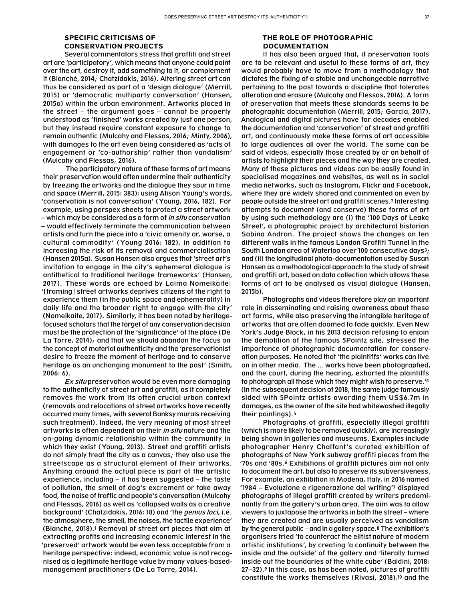## **SPECIFIC CRITICISMS OF CONSERVATION PROJECTS**

Several commentators stress that araffiti and street art are 'participatory', which means that anyone could paint over the art, destroy it, add something to it, or complement it (Blanché, 2014; Chatzidakis, 2016). Altering street art can thus be considered as part of a 'design dialogue' (Merrill, 2015) or 'democratic multiparty conversation' (Hansen, 2015a) within the urban environment. Artworks placed in the street – the argument goes – cannot be properly understood as 'finished' works created by just one person, but they instead require constant exposure to change to remain authentic (Mulcahy and Flessas, 2016; Minty, 2006), with damages to the art even being considered as 'acts of engagement or 'co-authorship' rather than vandalism' (Mulcahy and Flessas, 2016).

 The participatory nature of these forms of art means their preservation would often undermine their authenticity by freezing the artworks and the dialogue they spur in time and space (Merrill, 2015: 383): using Alison Young's words, 'conservation is not conversation' (Young, 2016, 182). For example, using perspex sheets to protect a street artwork – which may be considered as a form of *in situ* conservation – would effectively terminate the communication between artists and turn the piece into a 'civic amenity or, worse, a cultural commodity' (Young 2016: 182), in addition to increasing the risk of its removal and commercialisation (Hansen 2015a). Susan Hansen also argues that 'street art's invitation to engage in the city's ephemeral dialogue is antithetical to traditional heritage frameworks' (Hansen, 2017). These words are echoed by Laima Nomeikaite: '[framing] street artworks deprives citizens of the right to experience them (in the public space and ephemerality) in daily life and the broader right to engage with the city' (Nomeikaite, 2017). Similarly, it has been noted by heritagefocused scholars that the target of any conservation decision must be the protection of the 'significance' of the place (De La Torre, 2014); and that we should abandon the focus on the concept of material authenticity and the 'preservationist desire to freeze the moment of heritage and to conserve heritage as an unchanging monument to the past' (Smith, 2006: 6).

Ex situ preservation would be even more damaging to the authenticity of street art and graffiti, as it completely removes the work from its often crucial urban context (removals and relocations of street artworks have recently occurred many times, with several Banksy murals receiving such treatment). Indeed, the very meaning of most street artworks is often dependent on their in situ nature and the on-going dynamic relationship within the community in which they exist (Young, 2013). Street and graffiti artists do not simply treat the city as a canvas; they also use the streetscape as a structural element of their artworks. Anything around the actual piece is part of the artistic experience, including – it has been suggested – the taste of pollution, the smell of dog's excrement or take away food, the noise of traffic and people's conversation (Mulcahy and Flessas, 2016) as well as 'collapsed walls as a creative background' (Chatzidakis, 2016: 18) and 'the genius loci, i.e. the atmosphere, the smell, the noises, the tactile experience' (Blanché, 2018).1 Removal of street art pieces that aim at extracting profits and increasing economic interest in the 'preserved' artwork would be even less acceptable from a heritage perspective: indeed, economic value is not recognised as a legitimate heritage value by many values-basedmanagement practitioners (De La Torre, 2014).

### **THE ROLE OF PHOTOGRAPHIC DOCUMENTATION**

It has also been argued that, if preservation tools are to be relevant and useful to these forms of art, they would probably have to move from a methodology that dictates the fixing of a stable and unchangeable narrative pertaining to the past towards a discipline that tolerates alteration and erasure (Mulcahy and Flessas, 2016). A form of preservation that meets these standards seems to be photographic documentation (Merrill, 2015; Garcia, 2017). Analogical and digital pictures have for decades enabled the documentation and 'conservation' of street and graffiti art, and continuously make these forms of art accessible to large audiences all over the world. The same can be said of videos, especially those created by or on behalf of artists to highlight their pieces and the way they are created. Many of these pictures and videos can be easily found in specialised magazines and websites, as well as in social media networks, such as Instagram, Flickr and Facebook, where they are widely shared and commented on even by people outside the street art and graffiti scenes.2 Interesting attempts to document (and conserve) these forms of art by using such methodology are (i) the '100 Days of Leake Street', a photographic project by architectural historian Sabina Andron. The project shows the changes on ten different walls in the famous London Graffiti Tunnel in the South London area of Waterloo over 100 consecutive days3; and (ii) the longitudinal photo-documentation used by Susan Hansen as a methodological approach to the study of street and graffiti art, based on data collection which allows these forms of art to be analysed as visual dialogue (Hansen, 2015b).

Photographs and videos therefore play an important role in disseminating and raising awareness about these art forms, while also preserving the intangible heritage of artworks that are often doomed to fade quickly. Even New York's Judge Block, in his 2013 decision refusing to enjoin the demolition of the famous 5Pointz site, stressed the importance of photographic documentation for conservation purposes. He noted that 'the plaintiffs' works can live on in other media. The … works have been photographed, and the court, during the hearing, exhorted the plaintiffs to photograph all those which they might wish to preserve.'4 (In the subsequent decision of 2018, the same judge famously sided with 5Pointz artists awarding them US\$6.7m in damages, as the owner of the site had whitewashed illegally their paintings).5

Photographs of graffiti, especially illegal graffiti (which is more likely to be removed quickly), are increasingly being shown in galleries and museums. Examples include photographer Henry Chalfant's curated exhibition of photographs of New York subway graffiti pieces from the '70s and '80s.6 Exhibitions of graffiti pictures aim not only to document the art, but also to preserve its subversiveness. For example, an exhibition in Modena, Italy, in 2016 named '1984 – Evoluzione e rigenerazione del writing'7 displayed photographs of illegal graffiti created by writers predominantly from the gallery's urban area. The aim was to allow viewers to juxtapose the artworks in both the street – where they are created and are usually perceived as vandalism by the general public – and in a gallery space.8 The exhibition's organisers tried 'to counteract the elitist nature of modern artistic institutions', by creating 'a continuity between the inside and the outside' of the gallery and 'literally turned inside out the boundaries of the white cube' (Baldini, 2018: 27–32).9 In this case, as has been noted, pictures of graffiti constitute the works themselves (Rivasi, 2018),10 and the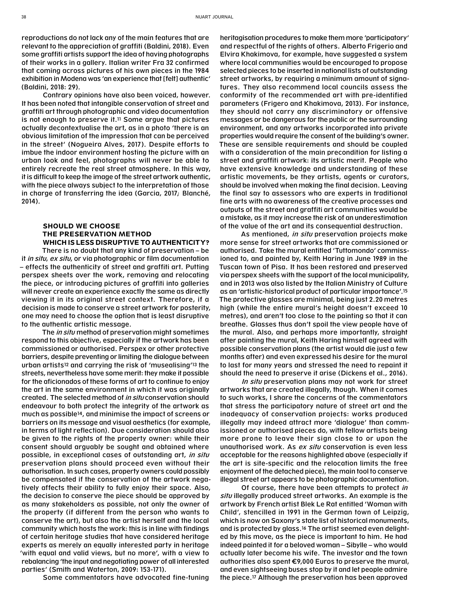reproductions do not lack any of the main features that are relevant to the appreciation of graffiti (Baldini, 2018). Even some graffiti artists support the idea of having photographs of their works in a gallery. Italian writer Fra 32 confirmed that coming across pictures of his own pieces in the 1984 exhibition in Modena was 'an experience that [felt] authentic' (Baldini, 2018: 29).

Contrary opinions have also been voiced, however. It has been noted that intangible conservation of street and graffiti art through photographic and video documentation is not enough to preserve it.11 Some argue that pictures actually decontextualise the art, as in a photo 'there is an obvious limitation of the impression that can be perceived in the street' (Nogueira Alves, 2017). Despite efforts to imbue the indoor environment hosting the picture with an urban look and feel, photographs will never be able to entirely recreate the real street atmosphere. In this way, it is difficult to keep the image of the street artwork authentic, with the piece always subject to the interpretation of those in charge of transferring the idea (Garcia, 2017; Blanché, 2014).

### **SHOULD WE CHOOSE THE PRESERVATION METHOD WHICH IS LESS DISRUPTIVE TO AUTHENTICITY?**

There is no doubt that any kind of preservation – be it in situ, ex situ, or via photographic or film documentation – effects the authenticity of street and graffiti art. Putting perspex sheets over the work, removing and relocating the piece, or introducing pictures of graffiti into galleries will never create an experience exactly the same as directly viewing it in its original street context. Therefore, if a decision is made to conserve a street artwork for posterity, one may need to choose the option that is least disruptive to the authentic artistic message.

The *in situ* method of preservation might sometimes respond to this objective, especially if the artwork has been commissioned or authorised. Perspex or other protective barriers, despite preventing or limiting the dialogue between urban artists12 and carrying the risk of 'musealising'13 the streets, nevertheless have some merit: they make it possible for the aficionados of these forms of art to continue to enjoy the art in the same environment in which it was originally created. The selected method of in situ conservation should endeavour to both protect the integrity of the artwork as much as possible14, and minimise the impact of screens or barriers on its message and visual aesthetics (for example, in terms of light reflection). Due consideration should also be given to the rights of the property owner: while their consent should arguably be sought and obtained where possible, in exceptional cases of outstanding art, in situ preservation plans should proceed even without their authorisation. In such cases, property owners could possibly be compensated if the conservation of the artwork negatively affects their ability to fully enjoy their space. Also, the decision to conserve the piece should be approved by as many stakeholders as possible, not only the owner of the property (if different from the person who wants to conserve the art), but also the artist herself and the local community which hosts the work: this is in line with findings of certain heritage studies that have considered heritage experts as merely an equally interested party in heritage 'with equal and valid views, but no more', with a view to rebalancing 'the input and negotiating power of all interested parties' (Smith and Waterton, 2009: 153-171).

Some commentators have advocated fine-tuning

heritagisation procedures to make them more 'participatory' and respectful of the rights of others. Alberto Frigerio and Elvira Khakimova, for example, have suggested a system where local communities would be encouraged to propose selected pieces to be inserted in national lists of outstanding street artworks, by requiring a minimum amount of signatures. They also recommend local councils assess the conformity of the recommended art with pre-identified parameters (Frigero and Khakimova, 2013). For instance, they should not carry any discriminatory or offensive messages or be dangerous for the public or the surrounding environment, and any artworks incorporated into private properties would require the consent of the building's owner. These are sensible requirements and should be coupled with a consideration of the main precondition for listing a street and graffiti artwork: its artistic merit. People who have extensive knowledge and understanding of these artistic movements, be they artists, agents or curators, should be involved when making the final decision. Leaving the final say to assessors who are experts in traditional fine arts with no awareness of the creative processes and outputs of the street and graffiti art communities would be a mistake, as it may increase the risk of an underestimation of the value of the art and its consequential destruction.

As mentioned, in situ preservation projects make more sense for street artworks that are commissioned or authorised. Take the mural entitled 'Tuttomondo' commissioned to, and painted by, Keith Haring in June 1989 in the Tuscan town of Pisa. It has been restored and preserved via perspex sheets with the support of the local municipality, and in 2013 was also listed by the Italian Ministry of Culture as an 'artistic-historical product of particular importance'.15 The protective glasses are minimal, being just 2.20 metres high (while the entire mural's height doesn't exceed 10 metres), and aren't too close to the painting so that it can breathe. Glasses thus don't spoil the view people have of the mural. Also, and perhaps more importantly, straight after painting the mural, Keith Haring himself agreed with possible conservation plans (the artist would die just a few months after) and even expressed his desire for the mural to last for many years and stressed the need to repaint it should the need to preserve it arise (Dickens et al., 2016).

In situ preservation plans may not work for street artworks that are created illegally, though. When it comes to such works, I share the concerns of the commentators that stress the participatory nature of street art and the inadequacy of conservation projects: works produced illegally may indeed attract more 'dialogue' than commissioned or authorised pieces do, with fellow artists being more prone to leave their sign close to or upon the unauthorised work. As ex situ conservation is even less acceptable for the reasons highlighted above (especially if the art is site-specific and the relocation limits the free enjoyment of the detached piece), the main tool to conserve illegal street art appears to be photographic documentation.

Of course, there have been attempts to protect in situ illegally produced street artworks. An example is the artwork by French artist Blek Le Rat entitled 'Woman with Child', stencilled in 1991 in the German town of Leipzig, which is now on Saxony's state list of historical monuments, and is protected by glass.16 The artist seemed even delighted by this move, as the piece is important to him. He had indeed painted it for a beloved woman – Sibylle – who would actually later become his wife. The investor and the town authorities also spent €9,000 Euros to preserve the mural, and even sightseeing buses stop by it and let people admire the piece.17 Although the preservation has been approved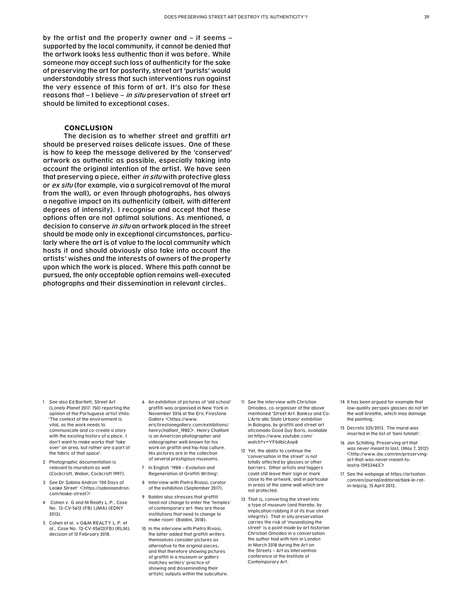by the artist and the property owner and – it seems – supported by the local community, it cannot be denied that the artwork looks less authentic than it was before. While someone may accept such loss of authenticity for the sake of preserving the art for posterity, street art 'purists' would understandably stress that such interventions run against the very essence of this form of art. It's also for these reasons that – I believe – in situ preservation of street art should be limited to exceptional cases.

#### **CONCLUSION**

The decision as to whether street and graffiti art should be preserved raises delicate issues. One of these is how to keep the message delivered by the 'conserved' artwork as authentic as possible, especially taking into account the original intention of the artist. We have seen that preserving a piece, either in situ with protective glass or ex situ (for example, via a surgical removal of the mural from the wall), or even through photographs, has always a negative impact on its authenticity (albeit, with different degrees of intensity). I recognise and accept that these options often are not optimal solutions. As mentioned, a decision to conserve in situ an artwork placed in the street should be made only in exceptional circumstances, particularly where the art is of value to the local community which hosts it and should obviously also take into account the artists' wishes and the interests of owners of the property upon which the work is placed. Where this path cannot be pursued, the only acceptable option remains well-executed photographs and their dissemination in relevant circles.

- 1 See also Ed Bartlett, Street Art (Lonely Planet 2017: 150) reporting the opinion of the Portuguese artist Vhils: 'The context of the environment is vital, as the work needs to communicate and co-create a story with the existing history of a place. I don't want to make works that 'take over' an area, but rather are a part of the fabric of that space'.
- 2 Photographic documentation is relevant to muralism as well (Cockcroft, Weber, Cockcroft 1997).
- 3 See Dr Sabina Andron '100 Days of Leake Street' <https://sabinaandron. com/leake-street>
- Cohen v. G and M Realty L.P., Case No. 13-CV-5612 (FB) (JMA) (EDNY 2013).
- 5 Cohen et al. v G&M REALTY L.P. et al., Case No. 13-CV-05612(FB) (RLM), decision of 12 February 2018.
- 6 An exhibition of pictures of 'old school' graffiti was organised in New York in November 2016 at the Eric Firestone Gallery <https://www. ericfirestonegallery.com/exhibitions/ henrychalfant\_1980>. Henry Chalfant is an American photographer and videographer well-known for his work on graffiti and hip-hop culture. His pictures are in the collection of several prestigious museums.
- 7 In English '1984 Evolution and Regeneration of Graffiti Writing'.
- 8 Interview with Pietro Rivasi, curator of the exhibition (September 2017).
- 9 Baldini also stresses that araffiti 'need not change to enter the 'temples' of contemporary art: they are those institutions that need to change to make room' (Baldini, 2018).
- 10 In the interview with Pietro Rivasi, the latter added that graffiti writers themselves consider pictures as alternative to the original pieces; and that therefore showing pictures of graffiti in a museum or gallery matches writers' practice of showing and disseminating their artistic outputs within the subculture.
- 11 See the interview with Christian Omodeo, co-organiser of the above mentioned 'Street Art: Banksy and Co: L'Arte allo Stato Urbano' exhibition in Bologna, by graffiti and street art aficionado Good Guy Boris, available on https://www.youtube.com/ watch?v=YF0dbIcAop8
- 12 Yet, the ability to continue the 'conversation in the street' is not totally affected by glasses or other barriers. Other artists and taggers could still leave their sign or mark close to the artwork, and in particular in areas of the same wall which are not protected.
- 13 That is, converting the street into a type of museum (and thereby, by implication robbing it of its true street integrity). That in situ preservation carries the risk of 'musealising the street' is a point made by art historian Christian Omodeo in a conversation the author had with him in London in March 2018 during the Art on the Streets – Art as Intervention conference at the Institute of Contemporary Art.
- 14 It has been argued for example that low-quality perspex glasses do not let the wall breathe, which may damage the painting.
- 15 Decreto 335/2013. The mural was inserted in the list of 'beni tutelati'.
- 16 Jan Schilling, Preserving art that was never meant to last, (May 7, 2012) <http://www.dw.com/en/preservingart-that-was-never-meant-tolast/a-15933463>
- 17 See the webpage at https://artsation. com/en/journal/editorial/blek-le-ratin-leipzig, 15 April 2013.